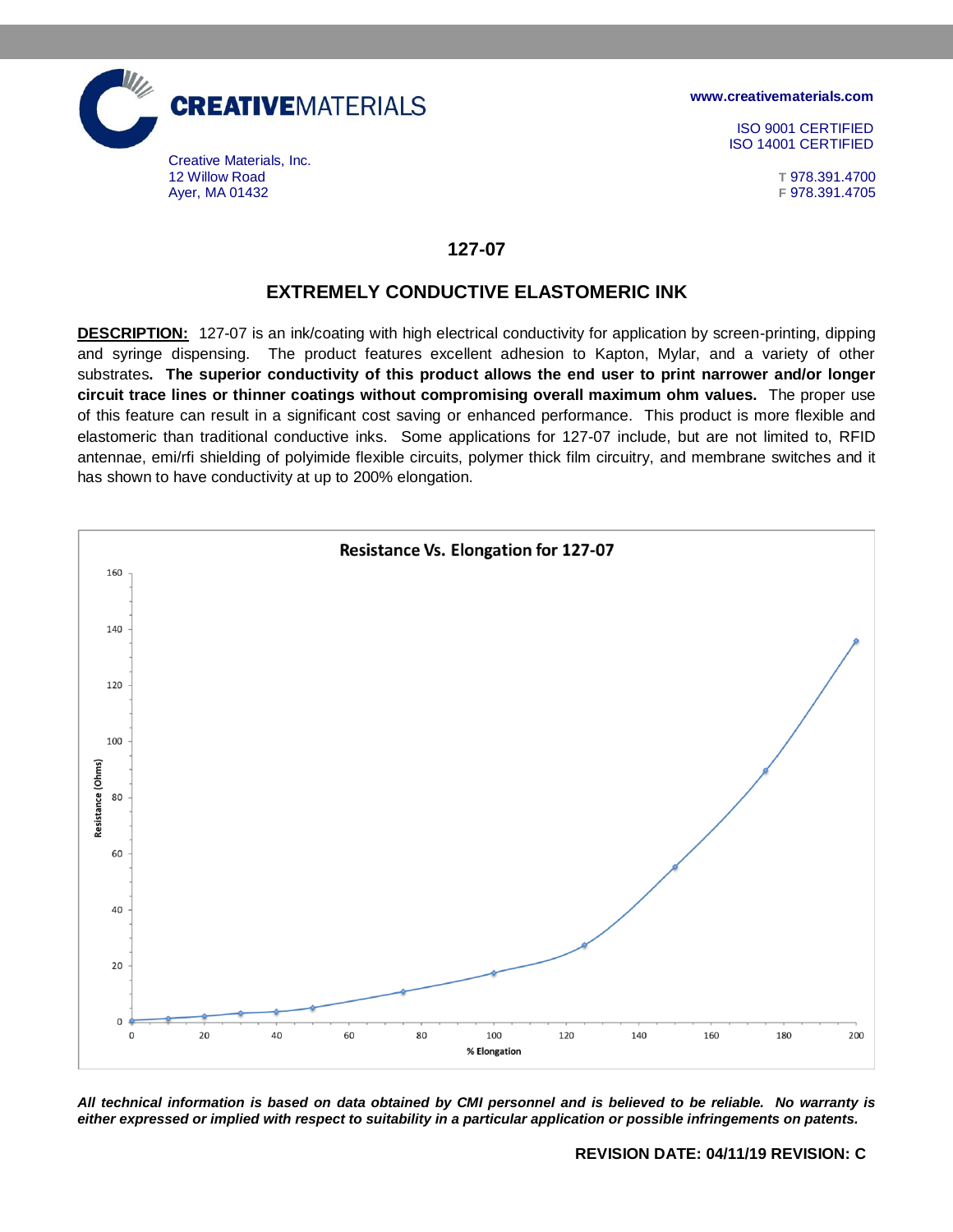

**[www.creativematerials.com](http://www.creativematerials.com/)**

ISO 9001 CERTIFIED ISO 14001 CERTIFIED

## **127-07**

## **EXTREMELY CONDUCTIVE ELASTOMERIC INK**

**DESCRIPTION:** 127-07 is an ink/coating with high electrical conductivity for application by screen-printing, dipping and syringe dispensing. The product features excellent adhesion to Kapton, Mylar, and a variety of other substrates**. The superior conductivity of this product allows the end user to print narrower and/or longer circuit trace lines or thinner coatings without compromising overall maximum ohm values.** The proper use of this feature can result in a significant cost saving or enhanced performance. This product is more flexible and elastomeric than traditional conductive inks. Some applications for 127-07 include, but are not limited to, RFID antennae, emi/rfi shielding of polyimide flexible circuits, polymer thick film circuitry, and membrane switches and it has shown to have conductivity at up to 200% elongation.



*All technical information is based on data obtained by CMI personnel and is believed to be reliable. No warranty is either expressed or implied with respect to suitability in a particular application or possible infringements on patents.*